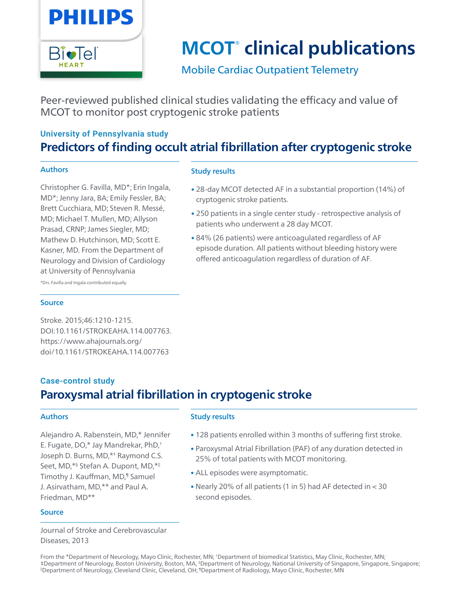

# **MCOT**® **clinical publications**

Mobile Cardiac Outpatient Telemetry

Peer-reviewed published clinical studies validating the efficacy and value of MCOT to monitor post cryptogenic stroke patients

## **University of Pennsylvania study Predictors of finding occult atrial fibrillation after cryptogenic stroke**

#### Authors

Christopher G. Favilla, MD\*; Erin Ingala, MD\*; Jenny Jara, BA; Emily Fessler, BA; Brett Cucchiara, MD; Steven R. Messé, MD; Michael T. Mullen, MD; Allyson Prasad, CRNP; James Siegler, MD; Mathew D. Hutchinson, MD; Scott E. Kasner, MD. From the Department of Neurology and Division of Cardiology at University of Pennsylvania \*Drs. Favilla and Ingala contributed equally.

#### Study results

- 28-day MCOT detected AF in a substantial proportion (14%) of cryptogenic stroke patients.
- 250 patients in a single center study retrospective analysis of patients who underwent a 28 day MCOT.
- 84% (26 patients) were anticoagulated regardless of AF episode duration. All patients without bleeding history were offered anticoagulation regardless of duration of AF.

#### Source

Stroke. 2015;46:1210-1215. DOI:10.1161/STROKEAHA.114.007763. https://www.ahajournals.org/ doi/10.1161/STROKEAHA.114.007763

## **Case-control study Paroxysmal atrial fibrillation in cryptogenic stroke**

#### Authors

Alejandro A. Rabenstein, MD,\* Jennifer E. Fugate, DO,\* Jay Mandrekar, PhD,† Joseph D. Burns, MD,\*‡ Raymond C.S. Seet, MD,\*§ Stefan A. Dupont, MD,\*|| Timothy J. Kauffman, MD,¶ Samuel J. Asirvatham, MD,\*\* and Paul A. Friedman, MD\*\*

#### Study results

- 128 patients enrolled within 3 months of suffering first stroke.
- Paroxysmal Atrial Fibrillation (PAF) of any duration detected in 25% of total patients with MCOT monitoring.
- ALL episodes were asymptomatic.
- Nearly 20% of all patients (1 in 5) had AF detected in < 30 second episodes.

#### Source

Journal of Stroke and Cerebrovascular Diseases, 2013

From the \*Department of Neurology, Mayo Clinic, Rochester, MN; †Department of biomedical Statistics, May Clinic, Rochester, MN; ‡Department of Neurology, Boston University, Boston, MA, §Department of Neurology, National University of Singapore, Singapore, Singapore; ||Department of Neurology, Cleveland Clinic, Cleveland, OH; ¶Department of Radiology, Mayo Clinic, Rochester, MN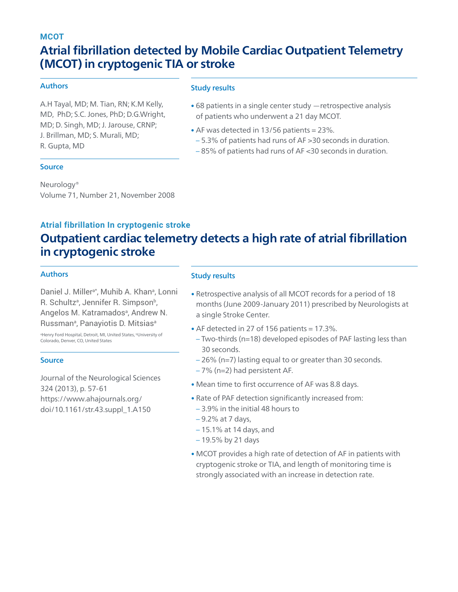#### **MCOT**

# **Atrial fibrillation detected by Mobile Cardiac Outpatient Telemetry (MCOT) in cryptogenic TIA or stroke**

#### Authors

A.H Tayal, MD; M. Tian, RN; K.M Kelly, MD, PhD; S.C. Jones, PhD; D.G.Wright, MD; D. Singh, MD; J. Jarouse, CRNP; J. Brillman, MD; S. Murali, MD; R. Gupta, MD

#### Study results

- 68 patients in a single center study —retrospective analysis of patients who underwent a 21 day MCOT.
- AF was detected in 13/56 patients = 23%.
- 5.3% of patients had runs of AF >30 seconds in duration.
- 85% of patients had runs of AF <30 seconds in duration.

#### **Source**

Neurology® Volume 71, Number 21, November 2008

### **Atrial fibrillation In cryptogenic stroke**

# **Outpatient cardiac telemetry detects a high rate of atrial fibrillation in cryptogenic stroke**

#### Authors

Daniel J. Miller<sup>a\*</sup>, Muhib A. Khan<sup>a</sup>, Lonni R. Schultz<sup>a</sup>, Jennifer R. Simpson<sup>b</sup>, Angelos M. Katramados<sup>a</sup>, Andrew N. Russmanª, Panayiotis D. Mitsiasª

<sup>a</sup>Henry Ford Hospital, Detroit, MI, United States, <sup>b</sup>University of Colorado, Denver, CO, United States

#### Source

Journal of the Neurological Sciences 324 (2013), p. 57-61 https://www.ahajournals.org/ doi/10.1161/str.43.suppl\_1.A150

#### Study results

- Retrospective analysis of all MCOT records for a period of 18 months (June 2009-January 2011) prescribed by Neurologists at a single Stroke Center.
- AF detected in 27 of 156 patients = 17.3%.
	- Two-thirds (n=18) developed episodes of PAF lasting less than 30 seconds.
- 26% (n=7) lasting equal to or greater than 30 seconds.
- 7% (n=2) had persistent AF.
- Mean time to first occurrence of AF was 8.8 days.
- Rate of PAF detection significantly increased from:
- 3.9% in the initial 48 hours to
- 9.2% at 7 days,
- 15.1% at 14 days, and
- 19.5% by 21 days
- MCOT provides a high rate of detection of AF in patients with cryptogenic stroke or TIA, and length of monitoring time is strongly associated with an increase in detection rate.